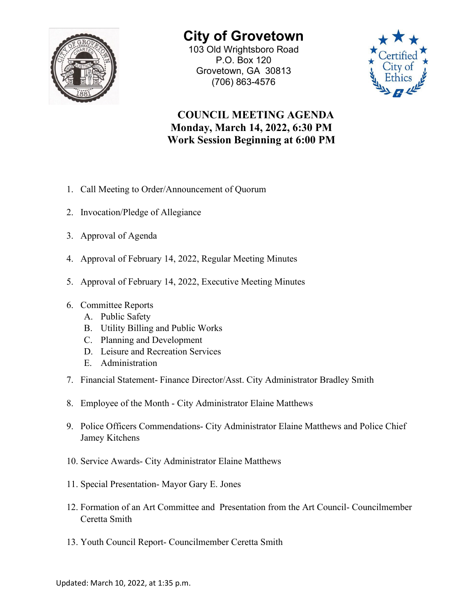

**City of Grovetown** 103 Old Wrightsboro Road

P.O. Box 120 Grovetown, GA 30813 (706) 863-4576



## **COUNCIL MEETING AGENDA Monday, March 14, 2022, 6:30 PM Work Session Beginning at 6:00 PM**

- 1. Call Meeting to Order/Announcement of Quorum
- 2. Invocation/Pledge of Allegiance
- 3. Approval of Agenda
- 4. Approval of February 14, 2022, Regular Meeting Minutes
- 5. Approval of February 14, 2022, Executive Meeting Minutes
- 6. Committee Reports
	- A. Public Safety
	- B. Utility Billing and Public Works
	- C. Planning and Development
	- D. Leisure and Recreation Services
	- E. Administration
- 7. Financial Statement- Finance Director/Asst. City Administrator Bradley Smith
- 8. Employee of the Month City Administrator Elaine Matthews
- 9. Police Officers Commendations- City Administrator Elaine Matthews and Police Chief Jamey Kitchens
- 10. Service Awards- City Administrator Elaine Matthews
- 11. Special Presentation- Mayor Gary E. Jones
- 12. Formation of an Art Committee and Presentation from the Art Council- Councilmember Ceretta Smith
- 13. Youth Council Report- Councilmember Ceretta Smith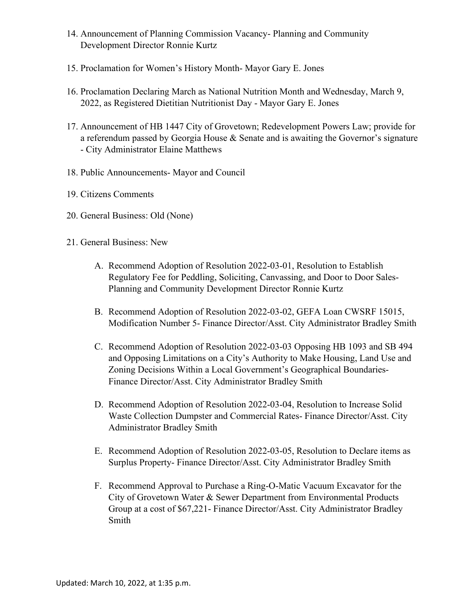- 14. Announcement of Planning Commission Vacancy- Planning and Community Development Director Ronnie Kurtz
- 15. Proclamation for Women's History Month- Mayor Gary E. Jones
- 16. Proclamation Declaring March as National Nutrition Month and Wednesday, March 9, 2022, as Registered Dietitian Nutritionist Day - Mayor Gary E. Jones
- 17. Announcement of HB 1447 City of Grovetown; Redevelopment Powers Law; provide for a referendum passed by Georgia House  $&$  Senate and is awaiting the Governor's signature - City Administrator Elaine Matthews
- 18. Public Announcements- Mayor and Council
- 19. Citizens Comments
- 20. General Business: Old (None)
- 21. General Business: New
	- A. Recommend Adoption of Resolution 2022-03-01, Resolution to Establish Regulatory Fee for Peddling, Soliciting, Canvassing, and Door to Door Sales-Planning and Community Development Director Ronnie Kurtz
	- B. Recommend Adoption of Resolution 2022-03-02, GEFA Loan CWSRF 15015, Modification Number 5- Finance Director/Asst. City Administrator Bradley Smith
	- C. Recommend Adoption of Resolution 2022-03-03 Opposing HB 1093 and SB 494 and Opposing Limitations on a City's Authority to Make Housing, Land Use and Zoning Decisions Within a Local Government's Geographical Boundaries-Finance Director/Asst. City Administrator Bradley Smith
	- D. Recommend Adoption of Resolution 2022-03-04, Resolution to Increase Solid Waste Collection Dumpster and Commercial Rates- Finance Director/Asst. City Administrator Bradley Smith
	- E. Recommend Adoption of Resolution 2022-03-05, Resolution to Declare items as Surplus Property- Finance Director/Asst. City Administrator Bradley Smith
	- F. Recommend Approval to Purchase a Ring-O-Matic Vacuum Excavator for the City of Grovetown Water & Sewer Department from Environmental Products Group at a cost of \$67,221- Finance Director/Asst. City Administrator Bradley Smith